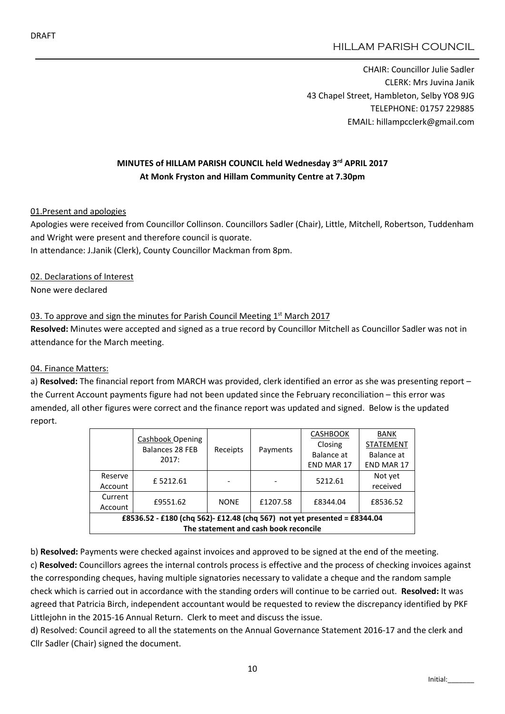# HILLAM PARISH COUNCIL

CHAIR: Councillor Julie Sadler CLERK: Mrs Juvina Janik 43 Chapel Street, Hambleton, Selby YO8 9JG TELEPHONE: 01757 229885 EMAIL: hillampcclerk@gmail.com

## MINUTES of HILLAM PARISH COUNCIL held Wednesday 3rd APRIL 2017 At Monk Fryston and Hillam Community Centre at 7.30pm

#### 01.Present and apologies

Apologies were received from Councillor Collinson. Councillors Sadler (Chair), Little, Mitchell, Robertson, Tuddenham and Wright were present and therefore council is quorate.

In attendance: J.Janik (Clerk), County Councillor Mackman from 8pm.

#### 02. Declarations of Interest

None were declared

### 03. To approve and sign the minutes for Parish Council Meeting  $1<sup>st</sup>$  March 2017

Resolved: Minutes were accepted and signed as a true record by Councillor Mitchell as Councillor Sadler was not in attendance for the March meeting.

### 04. Finance Matters:

a) Resolved: The financial report from MARCH was provided, clerk identified an error as she was presenting report – the Current Account payments figure had not been updated since the February reconciliation – this error was amended, all other figures were correct and the finance report was updated and signed. Below is the updated report.

|                                                                          | Cashbook Opening<br><b>Balances 28 FEB</b><br>2017: | Receipts    | Payments | <b>CASHBOOK</b>   | <b>BANK</b>       |  |  |
|--------------------------------------------------------------------------|-----------------------------------------------------|-------------|----------|-------------------|-------------------|--|--|
|                                                                          |                                                     |             |          | Closing           | <b>STATEMENT</b>  |  |  |
|                                                                          |                                                     |             |          | Balance at        | Balance at        |  |  |
|                                                                          |                                                     |             |          | <b>END MAR 17</b> | <b>END MAR 17</b> |  |  |
| Reserve                                                                  | £5212.61                                            |             |          | 5212.61           | Not yet           |  |  |
| Account                                                                  |                                                     |             |          |                   | received          |  |  |
| Current                                                                  | £9551.62                                            | <b>NONE</b> | £1207.58 | £8344.04          | £8536.52          |  |  |
| Account                                                                  |                                                     |             |          |                   |                   |  |  |
| £8536.52 - £180 (chq 562)- £12.48 (chq 567) not yet presented = £8344.04 |                                                     |             |          |                   |                   |  |  |
| The statement and cash book reconcile                                    |                                                     |             |          |                   |                   |  |  |

b) Resolved: Payments were checked against invoices and approved to be signed at the end of the meeting. c) Resolved: Councillors agrees the internal controls process is effective and the process of checking invoices against the corresponding cheques, having multiple signatories necessary to validate a cheque and the random sample check which is carried out in accordance with the standing orders will continue to be carried out. Resolved: It was agreed that Patricia Birch, independent accountant would be requested to review the discrepancy identified by PKF Littlejohn in the 2015-16 Annual Return. Clerk to meet and discuss the issue.

d) Resolved: Council agreed to all the statements on the Annual Governance Statement 2016-17 and the clerk and Cllr Sadler (Chair) signed the document.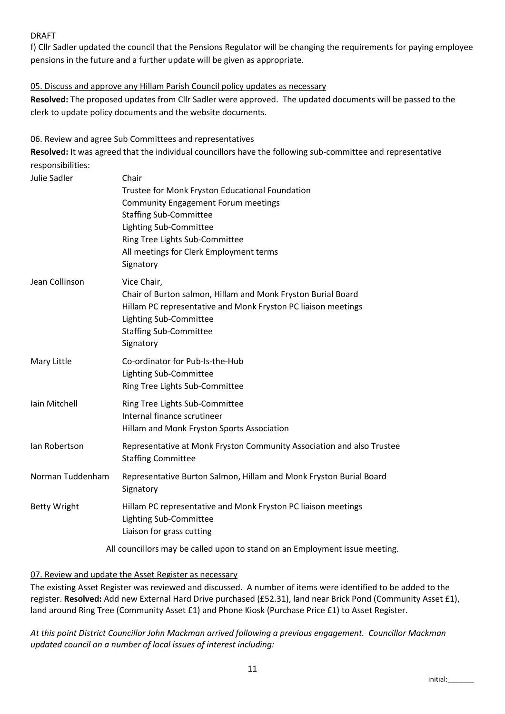## DRAFT

f) Cllr Sadler updated the council that the Pensions Regulator will be changing the requirements for paying employee pensions in the future and a further update will be given as appropriate.

### 05. Discuss and approve any Hillam Parish Council policy updates as necessary

Resolved: The proposed updates from Cllr Sadler were approved. The updated documents will be passed to the clerk to update policy documents and the website documents.

### 06. Review and agree Sub Committees and representatives

Resolved: It was agreed that the individual councillors have the following sub-committee and representative responsibilities:

| Julie Sadler        | Chair<br>Trustee for Monk Fryston Educational Foundation<br><b>Community Engagement Forum meetings</b><br><b>Staffing Sub-Committee</b><br>Lighting Sub-Committee<br>Ring Tree Lights Sub-Committee<br>All meetings for Clerk Employment terms<br>Signatory |
|---------------------|-------------------------------------------------------------------------------------------------------------------------------------------------------------------------------------------------------------------------------------------------------------|
| Jean Collinson      | Vice Chair,<br>Chair of Burton salmon, Hillam and Monk Fryston Burial Board<br>Hillam PC representative and Monk Fryston PC liaison meetings<br>Lighting Sub-Committee<br><b>Staffing Sub-Committee</b><br>Signatory                                        |
| Mary Little         | Co-ordinator for Pub-Is-the-Hub<br>Lighting Sub-Committee<br>Ring Tree Lights Sub-Committee                                                                                                                                                                 |
| Iain Mitchell       | Ring Tree Lights Sub-Committee<br>Internal finance scrutineer<br>Hillam and Monk Fryston Sports Association                                                                                                                                                 |
| lan Robertson       | Representative at Monk Fryston Community Association and also Trustee<br><b>Staffing Committee</b>                                                                                                                                                          |
| Norman Tuddenham    | Representative Burton Salmon, Hillam and Monk Fryston Burial Board<br>Signatory                                                                                                                                                                             |
| <b>Betty Wright</b> | Hillam PC representative and Monk Fryston PC liaison meetings<br>Lighting Sub-Committee<br>Liaison for grass cutting                                                                                                                                        |
|                     | All councillors may be called upon to stand on an Employment issue meeting.                                                                                                                                                                                 |

### 07. Review and update the Asset Register as necessary

The existing Asset Register was reviewed and discussed. A number of items were identified to be added to the register. Resolved: Add new External Hard Drive purchased (£52.31), land near Brick Pond (Community Asset £1), land around Ring Tree (Community Asset £1) and Phone Kiosk (Purchase Price £1) to Asset Register.

*At this point District Councillor John Mackman arrived following a previous engagement. Councillor Mackman updated council on a number of local issues of interest including:*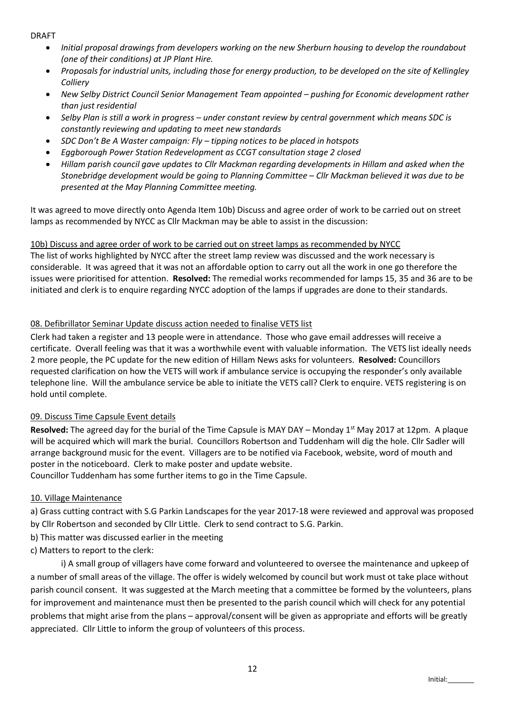DRAFT

- *Initial proposal drawings from developers working on the new Sherburn housing to develop the roundabout (one of their conditions) at JP Plant Hire.*
- *Proposals for industrial units, including those for energy production, to be developed on the site of Kellingley Colliery*
- *New Selby District Council Senior Management Team appointed – pushing for Economic development rather than just residential*
- *Selby Plan is still a work in progress – under constant review by central government which means SDC is constantly reviewing and updating to meet new standards*
- *SDC Don't Be A Waster campaign: Fly – tipping notices to be placed in hotspots*
- *Eggborough Power Station Redevelopment as CCGT consultation stage 2 closed*
- *Hillam parish council gave updates to Cllr Mackman regarding developments in Hillam and asked when the Stonebridge development would be going to Planning Committee – Cllr Mackman believed it was due to be presented at the May Planning Committee meeting.*

It was agreed to move directly onto Agenda Item 10b) Discuss and agree order of work to be carried out on street lamps as recommended by NYCC as Cllr Mackman may be able to assist in the discussion:

## 10b) Discuss and agree order of work to be carried out on street lamps as recommended by NYCC

The list of works highlighted by NYCC after the street lamp review was discussed and the work necessary is considerable. It was agreed that it was not an affordable option to carry out all the work in one go therefore the issues were prioritised for attention. Resolved: The remedial works recommended for lamps 15, 35 and 36 are to be initiated and clerk is to enquire regarding NYCC adoption of the lamps if upgrades are done to their standards.

## 08. Defibrillator Seminar Update discuss action needed to finalise VETS list

Clerk had taken a register and 13 people were in attendance. Those who gave email addresses will receive a certificate. Overall feeling was that it was a worthwhile event with valuable information. The VETS list ideally needs 2 more people, the PC update for the new edition of Hillam News asks for volunteers. Resolved: Councillors requested clarification on how the VETS will work if ambulance service is occupying the responder's only available telephone line. Will the ambulance service be able to initiate the VETS call? Clerk to enquire. VETS registering is on hold until complete.

### 09. Discuss Time Capsule Event details

Resolved: The agreed day for the burial of the Time Capsule is MAY DAY – Monday  $1<sup>st</sup>$  May 2017 at 12pm. A plaque will be acquired which will mark the burial. Councillors Robertson and Tuddenham will dig the hole. Cllr Sadler will arrange background music for the event. Villagers are to be notified via Facebook, website, word of mouth and poster in the noticeboard. Clerk to make poster and update website. Councillor Tuddenham has some further items to go in the Time Capsule.

### 10. Village Maintenance

a) Grass cutting contract with S.G Parkin Landscapes for the year 2017-18 were reviewed and approval was proposed by Cllr Robertson and seconded by Cllr Little. Clerk to send contract to S.G. Parkin.

- b) This matter was discussed earlier in the meeting
- c) Matters to report to the clerk:

i) A small group of villagers have come forward and volunteered to oversee the maintenance and upkeep of a number of small areas of the village. The offer is widely welcomed by council but work must ot take place without parish council consent. It was suggested at the March meeting that a committee be formed by the volunteers, plans for improvement and maintenance must then be presented to the parish council which will check for any potential problems that might arise from the plans – approval/consent will be given as appropriate and efforts will be greatly appreciated. Cllr Little to inform the group of volunteers of this process.